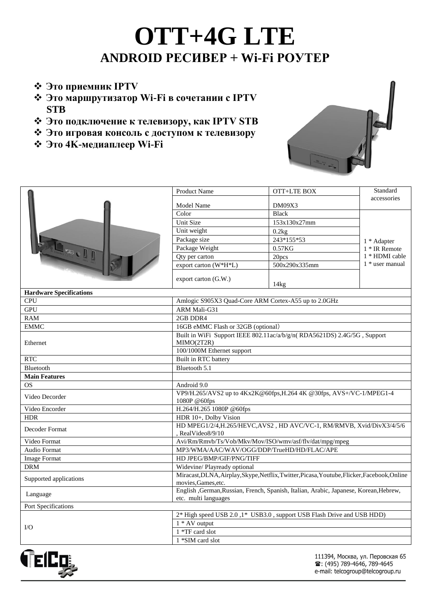## **OTT+4G LTE ANDROID РЕСИВЕР + Wi-Fi РОУТЕР**

- **Это приемник IPTV**
- **Это маршрутизатор Wi-Fi в сочетании с IPTV STB**
- **Это подключение к телевизору, как IPTV STB**
- **Это игровая консоль с доступом к телевизору**
- **Это 4K-медиаплеер Wi-Fi**



| REG.II                         | <b>Product Name</b>                                                                                            | OTT+LTE BOX         | Standard                                                          |  |
|--------------------------------|----------------------------------------------------------------------------------------------------------------|---------------------|-------------------------------------------------------------------|--|
|                                | Model Name                                                                                                     | DM09X3              | accessories                                                       |  |
|                                | Color                                                                                                          | <b>Black</b>        |                                                                   |  |
|                                | Unit Size                                                                                                      | 153x130x27mm        | 1 * Adapter<br>1 * IR Remote<br>1 * HDMI cable<br>1 * user manual |  |
|                                | Unit weight                                                                                                    | 0.2kg               |                                                                   |  |
|                                | Package size                                                                                                   | 243*155*53          |                                                                   |  |
|                                | Package Weight                                                                                                 | 0.57 <sub>K</sub> G |                                                                   |  |
|                                | Qty per carton                                                                                                 | 20pcs               |                                                                   |  |
|                                | export carton (W*H*L)                                                                                          | 500x290x335mm       |                                                                   |  |
|                                |                                                                                                                |                     |                                                                   |  |
|                                | export carton (G.W.)                                                                                           | 14kg                |                                                                   |  |
| <b>Hardware Specifications</b> |                                                                                                                |                     |                                                                   |  |
| <b>CPU</b>                     | Amlogic S905X3 Quad-Core ARM Cortex-A55 up to 2.0GHz                                                           |                     |                                                                   |  |
| <b>GPU</b>                     | ARM Mali-G31                                                                                                   |                     |                                                                   |  |
| RAM                            | 2GB DDR4                                                                                                       |                     |                                                                   |  |
| <b>EMMC</b>                    | 16GB eMMC Flash or 32GB (optional)                                                                             |                     |                                                                   |  |
| Ethernet                       | Built in WiFi Support IEEE 802.11ac/a/b/g/n(RDA5621DS) 2.4G/5G, Support                                        |                     |                                                                   |  |
|                                | MIMO(2T2R)                                                                                                     |                     |                                                                   |  |
|                                | 100/1000M Ethernet support                                                                                     |                     |                                                                   |  |
| <b>RTC</b>                     | Built in RTC battery                                                                                           |                     |                                                                   |  |
| Bluetooth                      | Bluetooth 5.1                                                                                                  |                     |                                                                   |  |
| <b>Main Features</b>           |                                                                                                                |                     |                                                                   |  |
| <b>OS</b>                      | Android 9.0                                                                                                    |                     |                                                                   |  |
| Video Decorder                 | VP9/H.265/AVS2 up to 4Kx2K@60fps, H.264 4K @30fps, AVS+/VC-1/MPEG1-4<br>1080P @60fps                           |                     |                                                                   |  |
| Video Encorder                 | H.264/H.265 1080P @60fps                                                                                       |                     |                                                                   |  |
| <b>HDR</b>                     | HDR 10+, Dolby Vision                                                                                          |                     |                                                                   |  |
|                                | HD MPEG1/2/4, H.265/HEVC, AVS2, HD AVC/VC-1, RM/RMVB, Xvid/DivX3/4/5/6                                         |                     |                                                                   |  |
| Decoder Format                 | , RealVideo8/9/10                                                                                              |                     |                                                                   |  |
| Video Format                   | Avi/Rm/Rmvb/Ts/Vob/Mkv/Mov/ISO/wmv/asf/flv/dat/mpg/mpeg                                                        |                     |                                                                   |  |
| <b>Audio Format</b>            | MP3/WMA/AAC/WAV/OGG/DDP/TrueHD/HD/FLAC/APE                                                                     |                     |                                                                   |  |
| <b>Image Format</b>            | HD JPEG/BMP/GIF/PNG/TIFF                                                                                       |                     |                                                                   |  |
| <b>DRM</b>                     | Widevine/ Playready optional                                                                                   |                     |                                                                   |  |
| Supported applications         | Miracast, DLNA, Airplay, Skype, Netflix, Twitter, Picasa, Youtube, Flicker, Facebook, Online                   |                     |                                                                   |  |
|                                | movies, Games, etc.                                                                                            |                     |                                                                   |  |
| Language                       | English , German, Russian, French, Spanish, Italian, Arabic, Japanese, Korean, Hebrew,<br>etc. multi languages |                     |                                                                   |  |
| Port Specifications            |                                                                                                                |                     |                                                                   |  |
|                                |                                                                                                                |                     |                                                                   |  |
| $\rm LO$                       | 2* High speed USB 2.0,1* USB3.0, support USB Flash Drive and USB HDD)<br>$1 * AV$ output                       |                     |                                                                   |  |
|                                | 1 *TF card slot                                                                                                |                     |                                                                   |  |
|                                | 1 *SIM card slot                                                                                               |                     |                                                                   |  |
|                                |                                                                                                                |                     |                                                                   |  |



111394, Москва, ул. Перовская 65 ☎: (495) 789-4646, 789-4645 e-mail: telcogroup@telcogroup.ru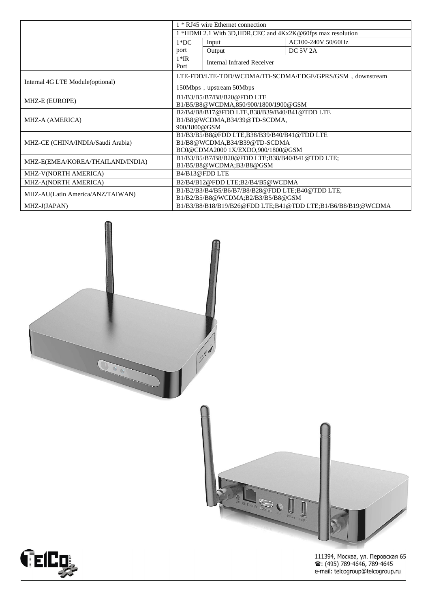|                                   | 1 * RJ45 wire Ethernet connection                             |                                                             |                    |  |
|-----------------------------------|---------------------------------------------------------------|-------------------------------------------------------------|--------------------|--|
|                                   | *HDMI 2.1 With 3D, HDR, CEC and $4Kx2K@60$ fps max resolution |                                                             |                    |  |
|                                   | $1*DC$                                                        | Input                                                       | AC100-240V 50/60Hz |  |
|                                   | port                                                          | Output                                                      | DC 5V 2A           |  |
|                                   | $1*IR$<br><b>Internal Infrared Receiver</b>                   |                                                             |                    |  |
|                                   | Port                                                          |                                                             |                    |  |
| Internal 4G LTE Module(optional)  | LTE-FDD/LTE-TDD/WCDMA/TD-SCDMA/EDGE/GPRS/GSM, downstream      |                                                             |                    |  |
|                                   | 150Mbps, upstream 50Mbps                                      |                                                             |                    |  |
| MHZ-E (EUROPE)                    | B1/B3/B5/B7/B8/B20@FDD LTE                                    |                                                             |                    |  |
|                                   | B1/B5/B8@WCDMA,850/900/1800/1900@GSM                          |                                                             |                    |  |
| MHZ-A (AMERICA)                   | B2/B4/B8/B17@FDD LTE,B38/B39/B40/B41@TDD LTE                  |                                                             |                    |  |
|                                   | B1/B8@WCDMA,B34/39@TD-SCDMA,                                  |                                                             |                    |  |
|                                   | 900/1800@GSM                                                  |                                                             |                    |  |
| MHZ-CE (CHINA/INDIA/Saudi Arabia) | B1/B3/B5/B8@FDD LTE,B38/B39/B40/B41@TDD LTE                   |                                                             |                    |  |
|                                   | B1/B8@WCDMA,B34/B39@TD-SCDMA                                  |                                                             |                    |  |
|                                   | BC0@CDMA2000 1X/EXDO,900/1800@GSM                             |                                                             |                    |  |
| MHZ-E(EMEA/KOREA/THAILAND/INDIA)  | B1/B3/B5/B7/B8/B20@FDD LTE;B38/B40/B41@TDD LTE;               |                                                             |                    |  |
|                                   | B1/B5/B8@WCDMA;B3/B8@GSM                                      |                                                             |                    |  |
| MHZ-V(NORTH AMERICA)              | B4/B13@FDD LTE                                                |                                                             |                    |  |
| MHZ-A(NORTH AMERICA)              | B2/B4/B12@FDD LTE;B2/B4/B5@WCDMA                              |                                                             |                    |  |
| MHZ-AU(Latin America/ANZ/TAIWAN)  | B1/B2/B3/B4/B5/B6/B7/B8/B28@FDD LTE;B40@TDD LTE;              |                                                             |                    |  |
|                                   | B1/B2/B5/B8@WCDMA;B2/B3/B5/B8@GSM                             |                                                             |                    |  |
| MHZ-J(JAPAN)                      |                                                               | B1/B3/B8/B18/B19/B26@FDD LTE;B41@TDD LTE;B1/B6/B8/B19@WCDMA |                    |  |







111394, Москва, ул. Перовская 65<br>☎: (495) 789-4646, 789-4645<br>e-mail: telcogroup@telcogroup.ru